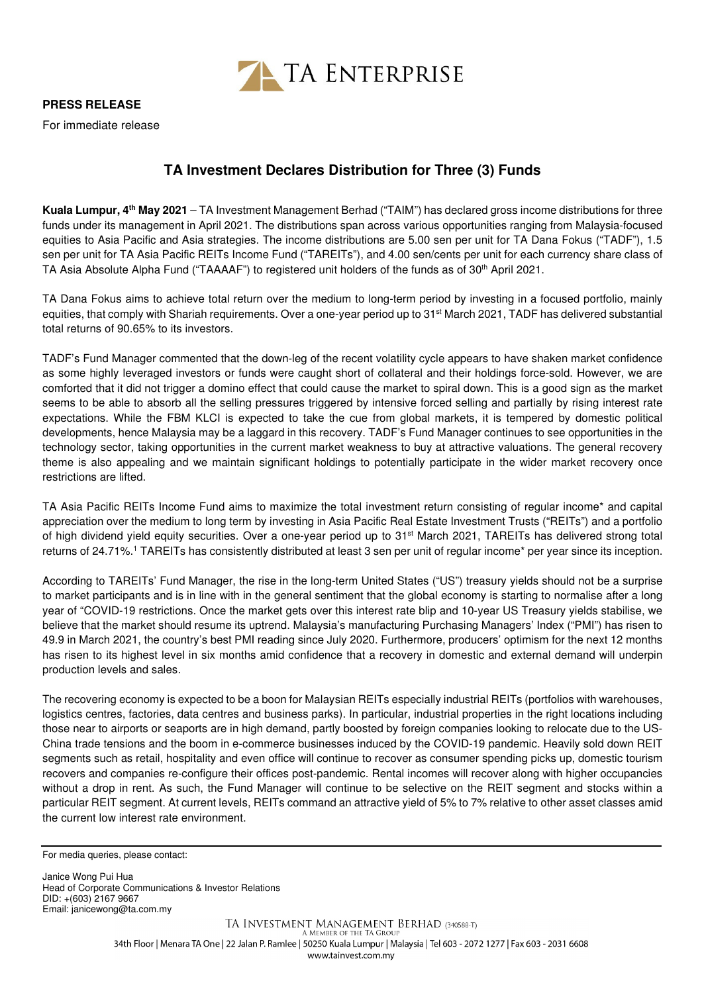

**PRESS RELEASE**

For immediate release

## **TA Investment Declares Distribution for Three (3) Funds**

**Kuala Lumpur, 4th May 2021** – TA Investment Management Berhad ("TAIM") has declared gross income distributions for three funds under its management in April 2021. The distributions span across various opportunities ranging from Malaysia-focused equities to Asia Pacific and Asia strategies. The income distributions are 5.00 sen per unit for TA Dana Fokus ("TADF"), 1.5 sen per unit for TA Asia Pacific REITs Income Fund ("TAREITs"), and 4.00 sen/cents per unit for each currency share class of TA Asia Absolute Alpha Fund ("TAAAAF") to registered unit holders of the funds as of 30<sup>th</sup> April 2021.

TA Dana Fokus aims to achieve total return over the medium to long-term period by investing in a focused portfolio, mainly equities, that comply with Shariah requirements. Over a one-year period up to 31<sup>st</sup> March 2021, TADF has delivered substantial total returns of 90.65% to its investors.

TADF's Fund Manager commented that the down-leg of the recent volatility cycle appears to have shaken market confidence as some highly leveraged investors or funds were caught short of collateral and their holdings force-sold. However, we are comforted that it did not trigger a domino effect that could cause the market to spiral down. This is a good sign as the market seems to be able to absorb all the selling pressures triggered by intensive forced selling and partially by rising interest rate expectations. While the FBM KLCI is expected to take the cue from global markets, it is tempered by domestic political developments, hence Malaysia may be a laggard in this recovery. TADF's Fund Manager continues to see opportunities in the technology sector, taking opportunities in the current market weakness to buy at attractive valuations. The general recovery theme is also appealing and we maintain significant holdings to potentially participate in the wider market recovery once restrictions are lifted.

TA Asia Pacific REITs Income Fund aims to maximize the total investment return consisting of regular income\* and capital appreciation over the medium to long term by investing in Asia Pacific Real Estate Investment Trusts ("REITs") and a portfolio of high dividend yield equity securities. Over a one-year period up to 31<sup>st</sup> March 2021, TAREITs has delivered strong total returns of 24.71%.<sup>1</sup> TAREITs has consistently distributed at least 3 sen per unit of regular income\* per year since its inception.

According to TAREITs' Fund Manager, the rise in the long-term United States ("US") treasury yields should not be a surprise to market participants and is in line with in the general sentiment that the global economy is starting to normalise after a long year of "COVID-19 restrictions. Once the market gets over this interest rate blip and 10-year US Treasury yields stabilise, we believe that the market should resume its uptrend. Malaysia's manufacturing Purchasing Managers' Index ("PMI") has risen to 49.9 in March 2021, the country's best PMI reading since July 2020. Furthermore, producers' optimism for the next 12 months has risen to its highest level in six months amid confidence that a recovery in domestic and external demand will underpin production levels and sales.

The recovering economy is expected to be a boon for Malaysian REITs especially industrial REITs (portfolios with warehouses, logistics centres, factories, data centres and business parks). In particular, industrial properties in the right locations including those near to airports or seaports are in high demand, partly boosted by foreign companies looking to relocate due to the US-China trade tensions and the boom in e-commerce businesses induced by the COVID-19 pandemic. Heavily sold down REIT segments such as retail, hospitality and even office will continue to recover as consumer spending picks up, domestic tourism recovers and companies re-configure their offices post-pandemic. Rental incomes will recover along with higher occupancies without a drop in rent. As such, the Fund Manager will continue to be selective on the REIT segment and stocks within a particular REIT segment. At current levels, REITs command an attractive yield of 5% to 7% relative to other asset classes amid the current low interest rate environment.

For media queries, please contact:

Janice Wong Pui Hua Head of Corporate Communications & Investor Relations DID: +(603) 2167 9667 Email: janicewong@ta.com.my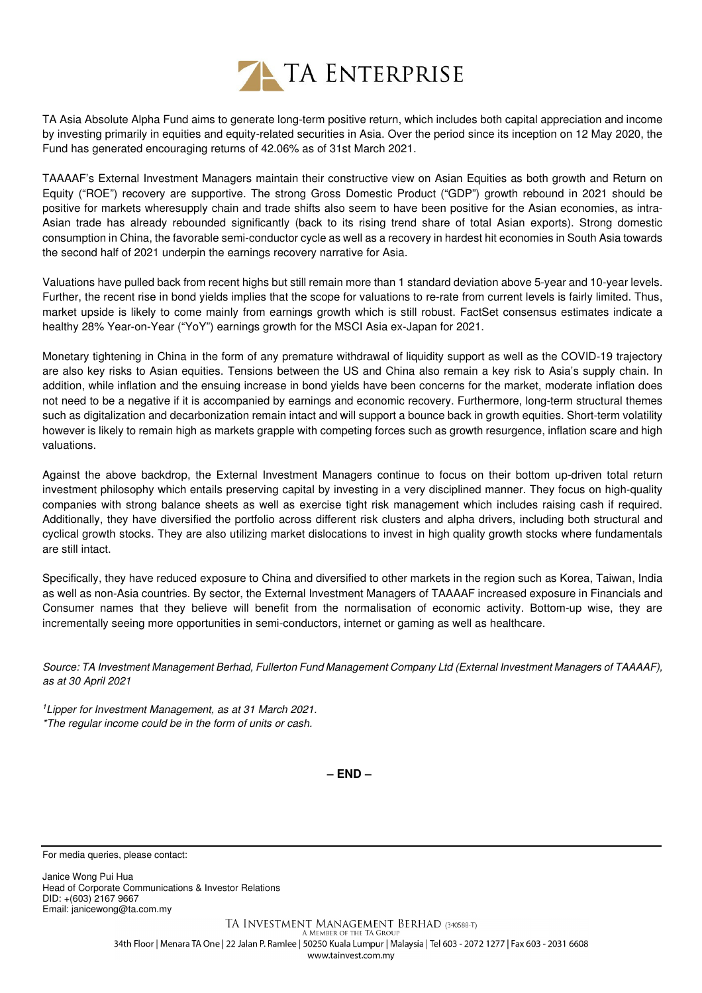

TA Asia Absolute Alpha Fund aims to generate long-term positive return, which includes both capital appreciation and income by investing primarily in equities and equity-related securities in Asia. Over the period since its inception on 12 May 2020, the Fund has generated encouraging returns of 42.06% as of 31st March 2021.

TAAAAF's External Investment Managers maintain their constructive view on Asian Equities as both growth and Return on Equity ("ROE") recovery are supportive. The strong Gross Domestic Product ("GDP") growth rebound in 2021 should be positive for markets wheresupply chain and trade shifts also seem to have been positive for the Asian economies, as intra-Asian trade has already rebounded significantly (back to its rising trend share of total Asian exports). Strong domestic consumption in China, the favorable semi-conductor cycle as well as a recovery in hardest hit economies in South Asia towards the second half of 2021 underpin the earnings recovery narrative for Asia.

Valuations have pulled back from recent highs but still remain more than 1 standard deviation above 5-year and 10-year levels. Further, the recent rise in bond yields implies that the scope for valuations to re-rate from current levels is fairly limited. Thus, market upside is likely to come mainly from earnings growth which is still robust. FactSet consensus estimates indicate a healthy 28% Year-on-Year ("YoY") earnings growth for the MSCI Asia ex-Japan for 2021.

Monetary tightening in China in the form of any premature withdrawal of liquidity support as well as the COVID-19 trajectory are also key risks to Asian equities. Tensions between the US and China also remain a key risk to Asia's supply chain. In addition, while inflation and the ensuing increase in bond yields have been concerns for the market, moderate inflation does not need to be a negative if it is accompanied by earnings and economic recovery. Furthermore, long-term structural themes such as digitalization and decarbonization remain intact and will support a bounce back in growth equities. Short-term volatility however is likely to remain high as markets grapple with competing forces such as growth resurgence, inflation scare and high valuations.

Against the above backdrop, the External Investment Managers continue to focus on their bottom up-driven total return investment philosophy which entails preserving capital by investing in a very disciplined manner. They focus on high-quality companies with strong balance sheets as well as exercise tight risk management which includes raising cash if required. Additionally, they have diversified the portfolio across different risk clusters and alpha drivers, including both structural and cyclical growth stocks. They are also utilizing market dislocations to invest in high quality growth stocks where fundamentals are still intact.

Specifically, they have reduced exposure to China and diversified to other markets in the region such as Korea, Taiwan, India as well as non-Asia countries. By sector, the External Investment Managers of TAAAAF increased exposure in Financials and Consumer names that they believe will benefit from the normalisation of economic activity. Bottom-up wise, they are incrementally seeing more opportunities in semi-conductors, internet or gaming as well as healthcare.

Source: TA Investment Management Berhad, Fullerton Fund Management Company Ltd (External Investment Managers of TAAAAF), as at 30 April 2021

<sup>1</sup>Lipper for Investment Management, as at 31 March 2021. \*The regular income could be in the form of units or cash.

**– END –**

For media queries, please contact:

Janice Wong Pui Hua Head of Corporate Communications & Investor Relations DID: +(603) 2167 9667 Email: janicewong@ta.com.my

> TA INVESTMENT MANAGEMENT BERHAD (340588-T) A MEMBER OF THE TA GROUP 34th Floor | Menara TA One | 22 Jalan P. Ramlee | 50250 Kuala Lumpur | Malaysia | Tel 603 - 2072 1277 | Fax 603 - 2031 6608 www.tainvest.com.mv